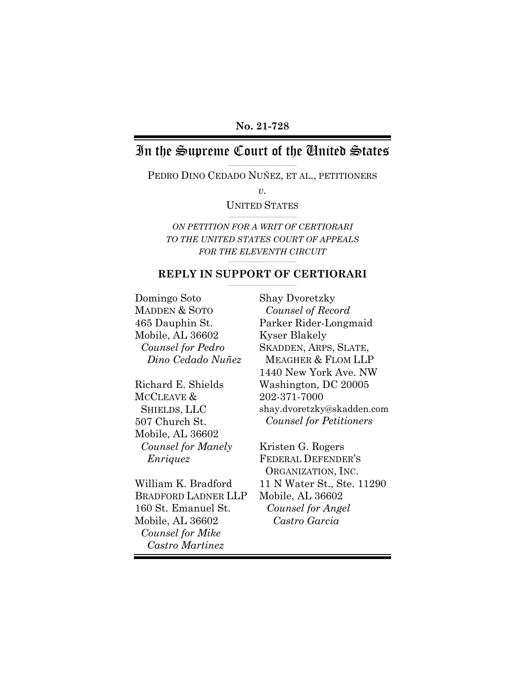# In the Supreme Court of the United States

\_\_\_\_\_\_\_\_\_\_\_\_\_\_\_\_\_\_\_\_\_\_\_\_\_\_\_\_\_\_\_\_\_\_\_\_\_\_\_\_ PEDRO DINO CEDADO NUÑEZ, ET AL., PETITIONERS

*v.*

UNITED STATES \_\_\_\_\_\_\_\_\_\_\_\_\_\_\_\_\_\_\_\_\_\_\_\_\_\_\_\_\_\_\_\_\_\_\_\_\_\_\_\_

*ON PETITION FOR A WRIT OF CERTIORARI TO THE UNITED STATES COURT OF APPEALS FOR THE ELEVENTH CIRCUIT*

### \_\_\_\_\_\_\_\_\_\_\_\_\_\_\_\_\_\_\_\_\_\_\_\_\_\_\_\_\_\_\_\_\_\_\_\_\_\_\_\_ **REPLY IN SUPPORT OF CERTIORARI**

Domingo Soto MADDEN & SOTO 465 Dauphin St. Mobile, AL 36602 *Counsel for Pedro Dino Cedado Nuñez*

Richard E. Shields MCCLEAVE & SHIELDS, LLC 507 Church St. Mobile, AL 36602 *Counsel for Manely Enriquez*

William K. Bradford BRADFORD LADNER LLP 160 St. Emanuel St. Mobile, AL 36602 *Counsel for Mike Castro Martinez*

Shay Dvoretzky *Counsel of Record* Parker Rider-Longmaid Kyser Blakely SKADDEN, ARPS, SLATE, MEAGHER & FLOM LLP 1440 New York Ave. NW Washington, DC 20005 202-371-7000 shay.dvoretzky@skadden.com *Counsel for Petitioners*

Kristen G. Rogers FEDERAL DEFENDER'S ORGANIZATION, INC. 11 N Water St., Ste. 11290 Mobile, AL 36602 *Counsel for Angel Castro Garcia*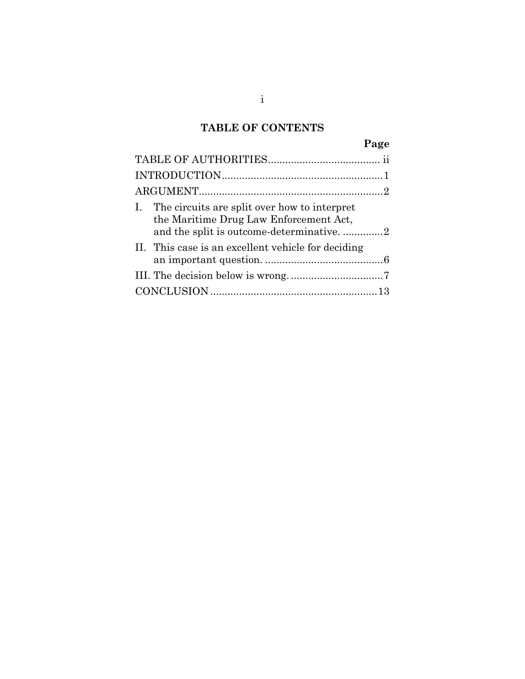# **TABLE OF CONTENTS**

| I. The circuits are split over how to interpret<br>the Maritime Drug Law Enforcement Act, |
|-------------------------------------------------------------------------------------------|
| and the split is outcome-determinative2                                                   |
| II. This case is an excellent vehicle for deciding                                        |
|                                                                                           |
|                                                                                           |
|                                                                                           |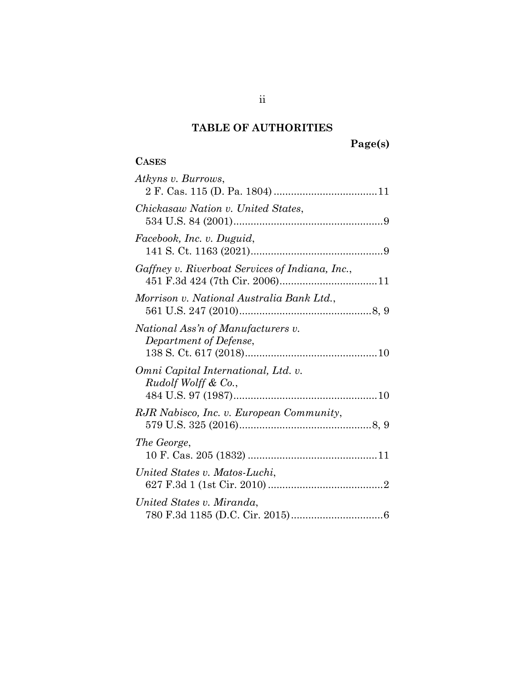# **TABLE OF AUTHORITIES**

# **Page(s)**

## <span id="page-2-0"></span>**CASES**

| Atkyns v. Burrows,                                                    |
|-----------------------------------------------------------------------|
| Chickasaw Nation v. United States,                                    |
| Facebook, Inc. v. Duguid,                                             |
| Gaffney v. Riverboat Services of Indiana, Inc.,                       |
| Morrison v. National Australia Bank Ltd.,                             |
| National Ass'n of Manufacturers v.<br>Department of Defense,          |
| Omni Capital International, Ltd. v.<br><i>Rudolf Wolff &amp; Co.,</i> |
| RJR Nabisco, Inc. v. European Community,                              |
| The George,                                                           |
| United States v. Matos-Luchi,                                         |
| United States v. Miranda.                                             |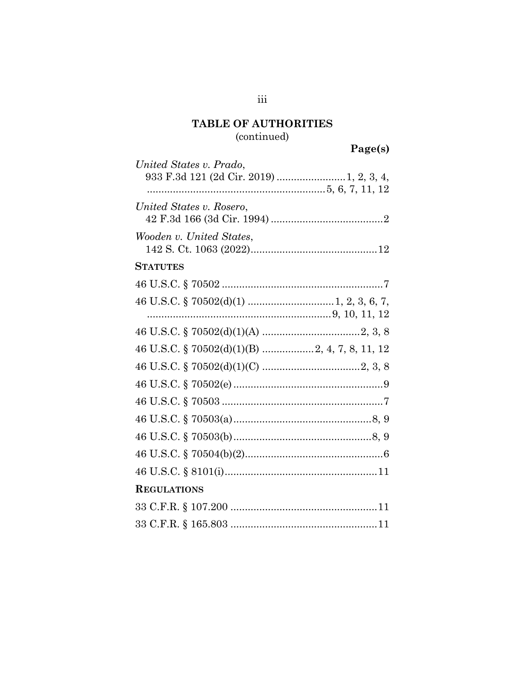# **TABLE OF AUTHORITIES** (continued)

Page(s)

| United States v. Prado,<br>933 F.3d 121 (2d Cir. 2019)  1, 2, 3, 4, |
|---------------------------------------------------------------------|
|                                                                     |
| United States v. Rosero,                                            |
| Wooden v. United States,                                            |
| <b>STATUTES</b>                                                     |
|                                                                     |
|                                                                     |
|                                                                     |
|                                                                     |
| 46 U.S.C. § 70502(d)(1)(B) 2, 4, 7, 8, 11, 12                       |
|                                                                     |
|                                                                     |
|                                                                     |
|                                                                     |
|                                                                     |
|                                                                     |
|                                                                     |
| <b>REGULATIONS</b>                                                  |
|                                                                     |
|                                                                     |

 $\rm iii$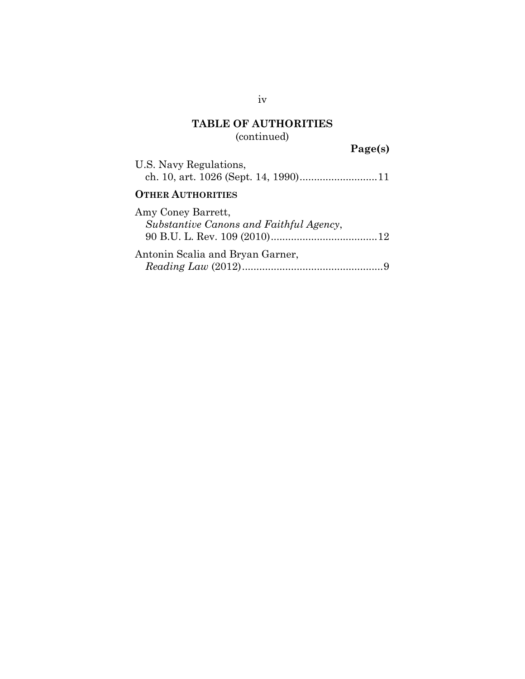# **TABLE OF AUTHORITIES**

(continued)

**Page(s)**

| U.S. Navy Regulations,                                        |
|---------------------------------------------------------------|
| <b>OTHER AUTHORITIES</b>                                      |
| Amy Coney Barrett,<br>Substantive Canons and Faithful Agency, |
| Antonin Scalia and Bryan Garner,                              |

iv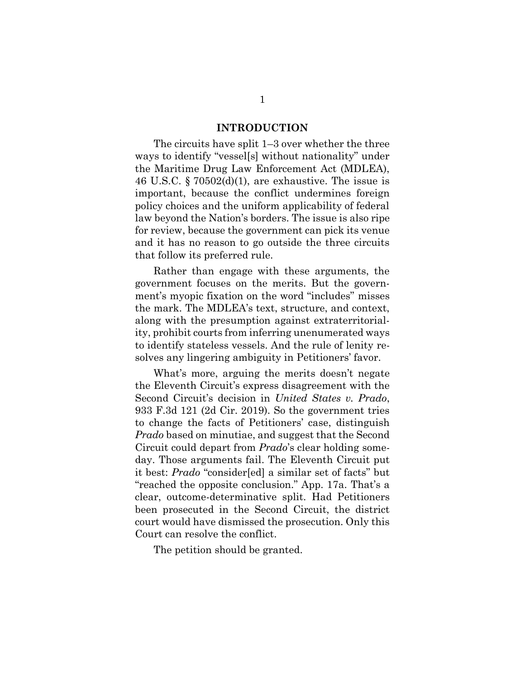### **INTRODUCTION**

<span id="page-5-0"></span>The circuits have split 1–3 over whether the three ways to identify "vessel[s] without nationality" under the Maritime Drug Law Enforcement Act (MDLEA), 46 U.S.C.  $\S 70502(d)(1)$ , are exhaustive. The issue is important, because the conflict undermines foreign policy choices and the uniform applicability of federal law beyond the Nation's borders. The issue is also ripe for review, because the government can pick its venue and it has no reason to go outside the three circuits that follow its preferred rule.

Rather than engage with these arguments, the government focuses on the merits. But the government's myopic fixation on the word "includes" misses the mark. The MDLEA's text, structure, and context, along with the presumption against extraterritoriality, prohibit courts from inferring unenumerated ways to identify stateless vessels. And the rule of lenity resolves any lingering ambiguity in Petitioners' favor.

What's more, arguing the merits doesn't negate the Eleventh Circuit's express disagreement with the Second Circuit's decision in *United States v. Prado*, 933 F.3d 121 (2d Cir. 2019). So the government tries to change the facts of Petitioners' case, distinguish *Prado* based on minutiae, and suggest that the Second Circuit could depart from *Prado*'s clear holding someday. Those arguments fail. The Eleventh Circuit put it best: *Prado* "consider[ed] a similar set of facts" but "reached the opposite conclusion." App. 17a. That's a clear, outcome-determinative split. Had Petitioners been prosecuted in the Second Circuit, the district court would have dismissed the prosecution. Only this Court can resolve the conflict.

The petition should be granted.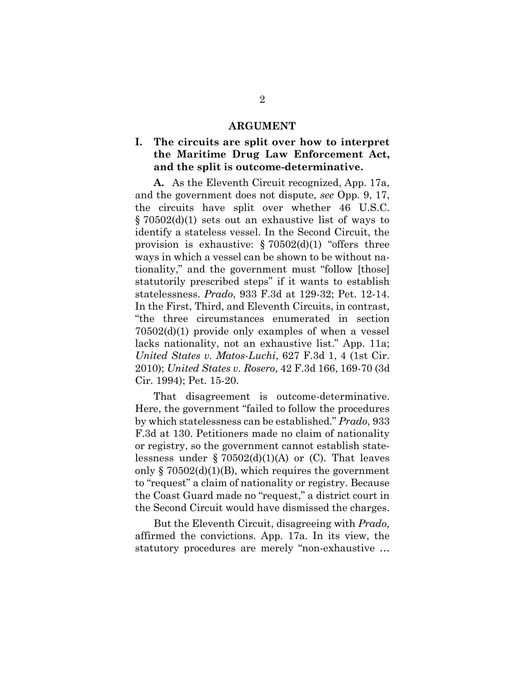### **ARGUMENT**

## <span id="page-6-1"></span><span id="page-6-0"></span>**I. The circuits are split over how to interpret the Maritime Drug Law Enforcement Act, and the split is outcome-determinative.**

**A.** As the Eleventh Circuit recognized, App. 17a, and the government does not dispute, *see* Opp. 9, 17, the circuits have split over whether 46 U.S.C. § 70502(d)(1) sets out an exhaustive list of ways to identify a stateless vessel. In the Second Circuit, the provision is exhaustive:  $\S 70502(d)(1)$  "offers three ways in which a vessel can be shown to be without nationality," and the government must "follow [those] statutorily prescribed steps" if it wants to establish statelessness. *Prado*, 933 F.3d at 129-32; Pet. 12-14. In the First, Third, and Eleventh Circuits, in contrast, "the three circumstances enumerated in section 70502(d)(1) provide only examples of when a vessel lacks nationality, not an exhaustive list." App. 11a; *United States v. Matos-Luchi*, 627 F.3d 1, 4 (1st Cir. 2010); *United States v. Rosero*, 42 F.3d 166, 169-70 (3d Cir. 1994); Pet. 15-20.

That disagreement is outcome-determinative. Here, the government "failed to follow the procedures by which statelessness can be established." *Prado*, 933 F.3d at 130. Petitioners made no claim of nationality or registry, so the government cannot establish statelessness under  $\S 70502(d)(1)(A)$  or (C). That leaves only  $\S 70502(d)(1)(B)$ , which requires the government to "request" a claim of nationality or registry. Because the Coast Guard made no "request," a district court in the Second Circuit would have dismissed the charges.

But the Eleventh Circuit, disagreeing with *Prado*, affirmed the convictions. App. 17a. In its view, the statutory procedures are merely "non-exhaustive …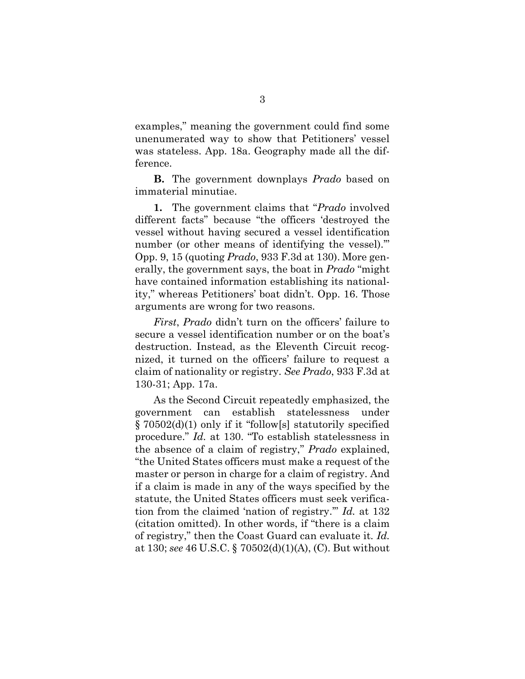examples," meaning the government could find some unenumerated way to show that Petitioners' vessel was stateless. App. 18a. Geography made all the difference.

**B.** The government downplays *Prado* based on immaterial minutiae.

**1.** The government claims that "*Prado* involved different facts" because "the officers 'destroyed the vessel without having secured a vessel identification number (or other means of identifying the vessel)." Opp. 9, 15 (quoting *Prado*, 933 F.3d at 130). More generally, the government says, the boat in *Prado* "might have contained information establishing its nationality," whereas Petitioners' boat didn't. Opp. 16. Those arguments are wrong for two reasons.

*First*, *Prado* didn't turn on the officers' failure to secure a vessel identification number or on the boat's destruction. Instead, as the Eleventh Circuit recognized, it turned on the officers' failure to request a claim of nationality or registry. *See Prado*, 933 F.3d at 130-31; App. 17a.

As the Second Circuit repeatedly emphasized, the government can establish statelessness under § 70502(d)(1) only if it "follow[s] statutorily specified procedure." *Id.* at 130. "To establish statelessness in the absence of a claim of registry," *Prado* explained, "the United States officers must make a request of the master or person in charge for a claim of registry. And if a claim is made in any of the ways specified by the statute, the United States officers must seek verification from the claimed 'nation of registry.'" *Id.* at 132 (citation omitted). In other words, if "there is a claim of registry," then the Coast Guard can evaluate it. *Id.* at 130; *see* 46 U.S.C. § 70502(d)(1)(A), (C). But without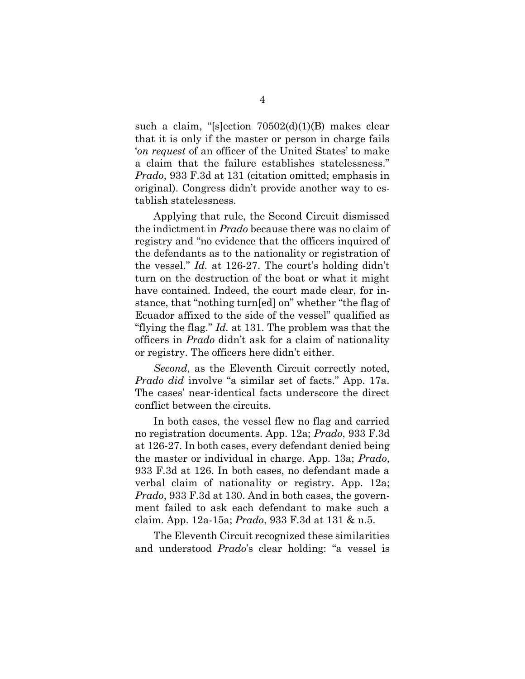such a claim, "[s]ection 70502(d)(1)(B) makes clear that it is only if the master or person in charge fails '*on request* of an officer of the United States' to make a claim that the failure establishes statelessness." *Prado*, 933 F.3d at 131 (citation omitted; emphasis in original). Congress didn't provide another way to establish statelessness.

Applying that rule, the Second Circuit dismissed the indictment in *Prado* because there was no claim of registry and "no evidence that the officers inquired of the defendants as to the nationality or registration of the vessel." *Id.* at 126-27. The court's holding didn't turn on the destruction of the boat or what it might have contained. Indeed, the court made clear, for instance, that "nothing turn[ed] on" whether "the flag of Ecuador affixed to the side of the vessel" qualified as "flying the flag." *Id.* at 131. The problem was that the officers in *Prado* didn't ask for a claim of nationality or registry. The officers here didn't either.

*Second*, as the Eleventh Circuit correctly noted, *Prado did* involve "a similar set of facts." App. 17a. The cases' near-identical facts underscore the direct conflict between the circuits.

In both cases, the vessel flew no flag and carried no registration documents. App. 12a; *Prado*, 933 F.3d at 126-27. In both cases, every defendant denied being the master or individual in charge. App. 13a; *Prado*, 933 F.3d at 126. In both cases, no defendant made a verbal claim of nationality or registry. App. 12a; *Prado*, 933 F.3d at 130. And in both cases, the government failed to ask each defendant to make such a claim. App. 12a-15a; *Prado*, 933 F.3d at 131 & n.5.

The Eleventh Circuit recognized these similarities and understood *Prado*'s clear holding: "a vessel is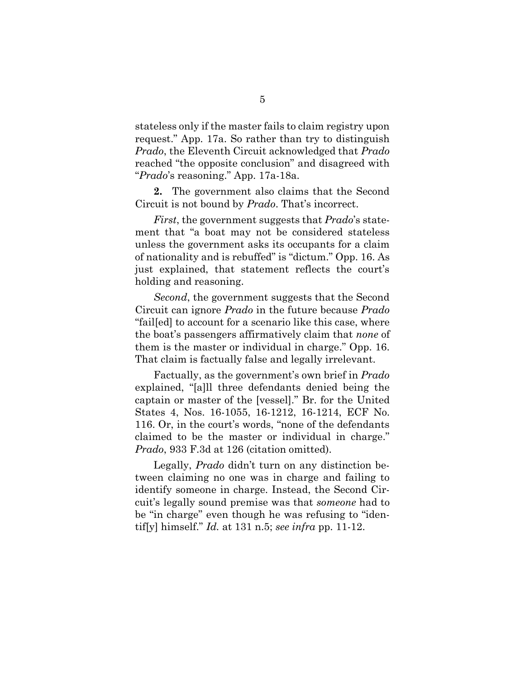stateless only if the master fails to claim registry upon request." App. 17a. So rather than try to distinguish *Prado*, the Eleventh Circuit acknowledged that *Prado* reached "the opposite conclusion" and disagreed with "*Prado*'s reasoning." App. 17a-18a.

**2.** The government also claims that the Second Circuit is not bound by *Prado*. That's incorrect.

*First*, the government suggests that *Prado*'s statement that "a boat may not be considered stateless unless the government asks its occupants for a claim of nationality and is rebuffed" is "dictum." Opp. 16. As just explained, that statement reflects the court's holding and reasoning.

*Second*, the government suggests that the Second Circuit can ignore *Prado* in the future because *Prado* "fail[ed] to account for a scenario like this case, where the boat's passengers affirmatively claim that *none* of them is the master or individual in charge." Opp. 16. That claim is factually false and legally irrelevant.

Factually, as the government's own brief in *Prado* explained, "[a]ll three defendants denied being the captain or master of the [vessel]." Br. for the United States 4, Nos. 16-1055, 16-1212, 16-1214, ECF No. 116. Or, in the court's words, "none of the defendants claimed to be the master or individual in charge." *Prado*, 933 F.3d at 126 (citation omitted).

Legally, *Prado* didn't turn on any distinction between claiming no one was in charge and failing to identify someone in charge. Instead, the Second Circuit's legally sound premise was that *someone* had to be "in charge" even though he was refusing to "identif[y] himself." *Id.* at 131 n.5; *see infra* pp. 11-12.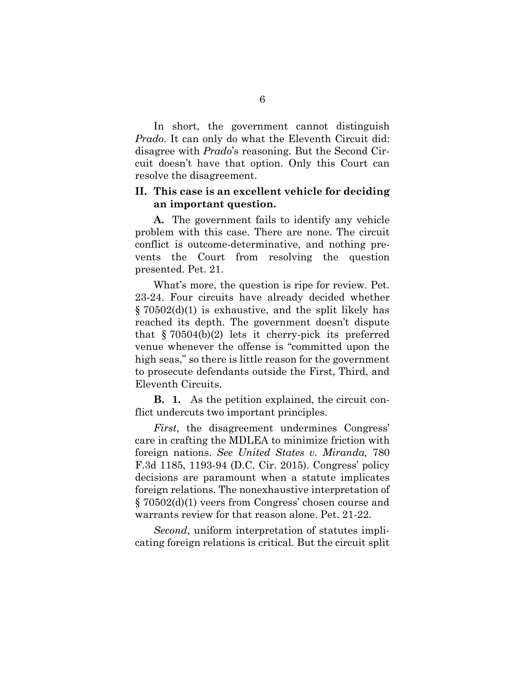In short, the government cannot distinguish *Prado*. It can only do what the Eleventh Circuit did: disagree with *Prado*'s reasoning. But the Second Circuit doesn't have that option. Only this Court can resolve the disagreement.

## <span id="page-10-0"></span>**II. This case is an excellent vehicle for deciding an important question.**

**A.** The government fails to identify any vehicle problem with this case. There are none. The circuit conflict is outcome-determinative, and nothing prevents the Court from resolving the question presented. Pet. 21.

What's more, the question is ripe for review. Pet. 23-24. Four circuits have already decided whether § 70502(d)(1) is exhaustive, and the split likely has reached its depth. The government doesn't dispute that  $\S 70504(b)(2)$  lets it cherry-pick its preferred venue whenever the offense is "committed upon the high seas," so there is little reason for the government to prosecute defendants outside the First, Third, and Eleventh Circuits.

**B. 1.** As the petition explained, the circuit conflict undercuts two important principles.

*First*, the disagreement undermines Congress' care in crafting the MDLEA to minimize friction with foreign nations. *See United States v. Miranda,* 780 F.3d 1185, 1193-94 (D.C. Cir. 2015). Congress' policy decisions are paramount when a statute implicates foreign relations. The nonexhaustive interpretation of § 70502(d)(1) veers from Congress' chosen course and warrants review for that reason alone. Pet. 21-22.

*Second*, uniform interpretation of statutes implicating foreign relations is critical. But the circuit split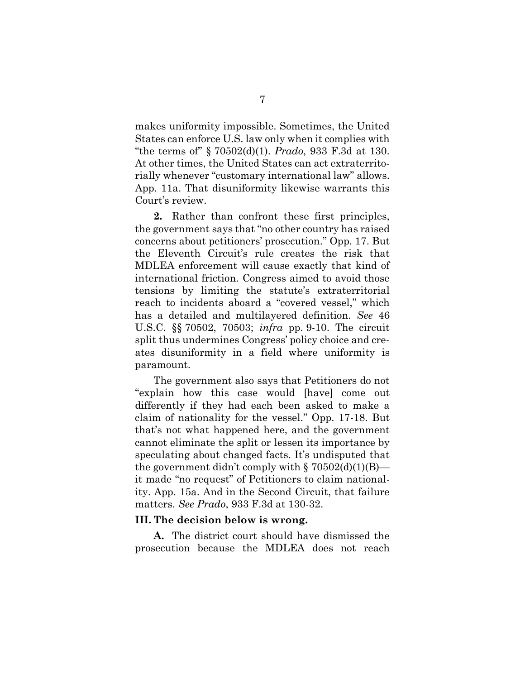makes uniformity impossible. Sometimes, the United States can enforce U.S. law only when it complies with "the terms of" § 70502(d)(1). *Prado*, 933 F.3d at 130. At other times, the United States can act extraterritorially whenever "customary international law" allows. App. 11a. That disuniformity likewise warrants this Court's review.

**2.** Rather than confront these first principles, the government says that "no other country has raised concerns about petitioners' prosecution." Opp. 17. But the Eleventh Circuit's rule creates the risk that MDLEA enforcement will cause exactly that kind of international friction. Congress aimed to avoid those tensions by limiting the statute's extraterritorial reach to incidents aboard a "covered vessel," which has a detailed and multilayered definition. *See* 46 U.S.C. §§ 70502, 70503; *infra* pp. 9-10. The circuit split thus undermines Congress' policy choice and creates disuniformity in a field where uniformity is paramount.

The government also says that Petitioners do not "explain how this case would [have] come out differently if they had each been asked to make a claim of nationality for the vessel." Opp. 17-18. But that's not what happened here, and the government cannot eliminate the split or lessen its importance by speculating about changed facts. It's undisputed that the government didn't comply with  $\S 70502(d)(1)(B)$  it made "no request" of Petitioners to claim nationality. App. 15a. And in the Second Circuit, that failure matters. *See Prado*, 933 F.3d at 130-32.

#### <span id="page-11-0"></span>**III. The decision below is wrong.**

**A.** The district court should have dismissed the prosecution because the MDLEA does not reach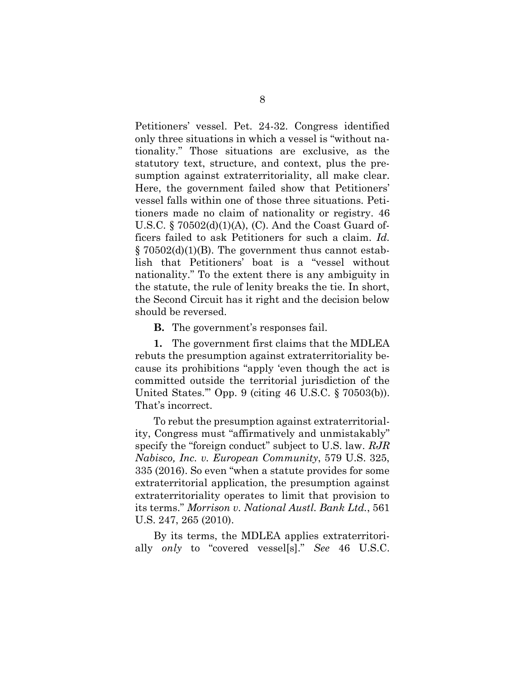Petitioners' vessel. Pet. 24-32. Congress identified only three situations in which a vessel is "without nationality." Those situations are exclusive, as the statutory text, structure, and context, plus the presumption against extraterritoriality, all make clear. Here, the government failed show that Petitioners' vessel falls within one of those three situations. Petitioners made no claim of nationality or registry. 46 U.S.C. § 70502(d)(1)(A), (C). And the Coast Guard officers failed to ask Petitioners for such a claim. *Id.*  $\S 70502(d)(1)(B)$ . The government thus cannot establish that Petitioners' boat is a "vessel without nationality." To the extent there is any ambiguity in the statute, the rule of lenity breaks the tie. In short, the Second Circuit has it right and the decision below should be reversed.

**B.** The government's responses fail.

**1.** The government first claims that the MDLEA rebuts the presumption against extraterritoriality because its prohibitions "apply 'even though the act is committed outside the territorial jurisdiction of the United States.'" Opp. 9 (citing 46 U.S.C. § 70503(b)). That's incorrect.

To rebut the presumption against extraterritoriality, Congress must "affirmatively and unmistakably" specify the "foreign conduct" subject to U.S. law. *RJR Nabisco, Inc. v. European Community*, 579 U.S. 325, 335 (2016). So even "when a statute provides for some extraterritorial application, the presumption against extraterritoriality operates to limit that provision to its terms." *Morrison v. National Austl. Bank Ltd.*, 561 U.S. 247, 265 (2010).

By its terms, the MDLEA applies extraterritorially *only* to "covered vessel[s]." *See* 46 U.S.C.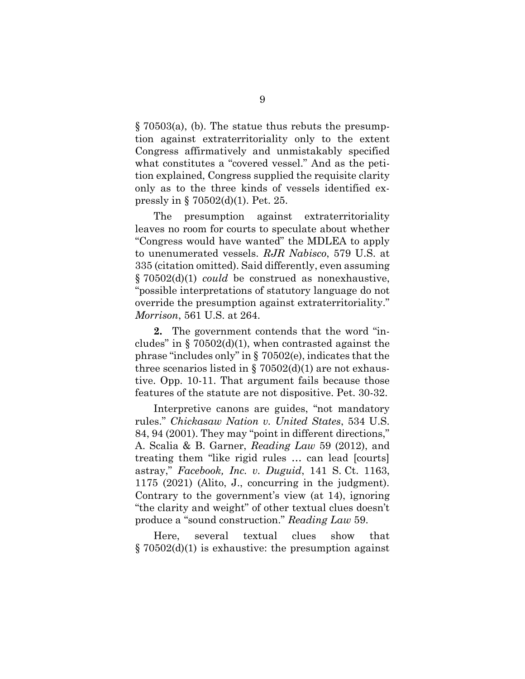§ 70503(a), (b). The statue thus rebuts the presumption against extraterritoriality only to the extent Congress affirmatively and unmistakably specified what constitutes a "covered vessel." And as the petition explained, Congress supplied the requisite clarity only as to the three kinds of vessels identified expressly in § 70502(d)(1). Pet. 25.

The presumption against extraterritoriality leaves no room for courts to speculate about whether "Congress would have wanted" the MDLEA to apply to unenumerated vessels. *RJR Nabisco*, 579 U.S. at 335 (citation omitted). Said differently, even assuming § 70502(d)(1) *could* be construed as nonexhaustive, "possible interpretations of statutory language do not override the presumption against extraterritoriality." *Morrison*, 561 U.S. at 264.

**2.** The government contends that the word "includes" in  $\S 70502(d)(1)$ , when contrasted against the phrase "includes only" in § 70502(e), indicates that the three scenarios listed in  $\S 70502(d)(1)$  are not exhaustive. Opp. 10-11. That argument fails because those features of the statute are not dispositive. Pet. 30-32.

Interpretive canons are guides, "not mandatory rules." *Chickasaw Nation v. United States*, 534 U.S. 84, 94 (2001). They may "point in different directions," A. Scalia & B. Garner, *Reading Law* 59 (2012), and treating them "like rigid rules … can lead [courts] astray," *Facebook, Inc. v. Duguid*, 141 S. Ct. 1163, 1175 (2021) (Alito, J., concurring in the judgment). Contrary to the government's view (at 14), ignoring "the clarity and weight" of other textual clues doesn't produce a "sound construction." *Reading Law* 59.

Here, several textual clues show that § 70502(d)(1) is exhaustive: the presumption against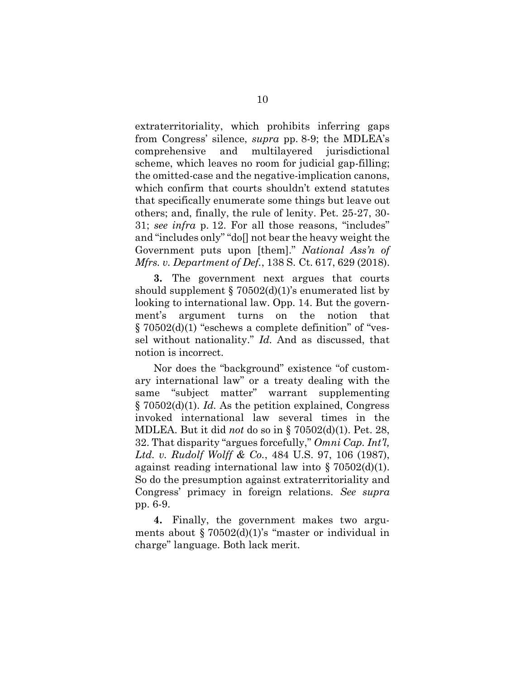extraterritoriality, which prohibits inferring gaps from Congress' silence, *supra* pp. 8-9; the MDLEA's comprehensive and multilayered jurisdictional scheme, which leaves no room for judicial gap-filling; the omitted-case and the negative-implication canons, which confirm that courts shouldn't extend statutes that specifically enumerate some things but leave out others; and, finally, the rule of lenity. Pet. 25-27, 30- 31; *see infra* p. 12. For all those reasons, "includes" and "includes only" "do[] not bear the heavy weight the Government puts upon [them]." *National Ass'n of Mfrs. v. Department of Def.*, 138 S. Ct. 617, 629 (2018).

**3.** The government next argues that courts should supplement  $\S 70502(d)(1)$ 's enumerated list by looking to international law. Opp. 14. But the government's argument turns on the notion that § 70502(d)(1) "eschews a complete definition" of "vessel without nationality." *Id.* And as discussed, that notion is incorrect.

Nor does the "background" existence "of customary international law" or a treaty dealing with the same "subject matter" warrant supplementing § 70502(d)(1). *Id.* As the petition explained, Congress invoked international law several times in the MDLEA. But it did *not* do so in § 70502(d)(1). Pet. 28, 32. That disparity "argues forcefully," *Omni Cap. Int'l, Ltd. v. Rudolf Wolff & Co.*, 484 U.S. 97, 106 (1987), against reading international law into § 70502(d)(1). So do the presumption against extraterritoriality and Congress' primacy in foreign relations. *See supra* pp. 6-9.

**4.** Finally, the government makes two arguments about § 70502(d)(1)'s "master or individual in charge" language. Both lack merit.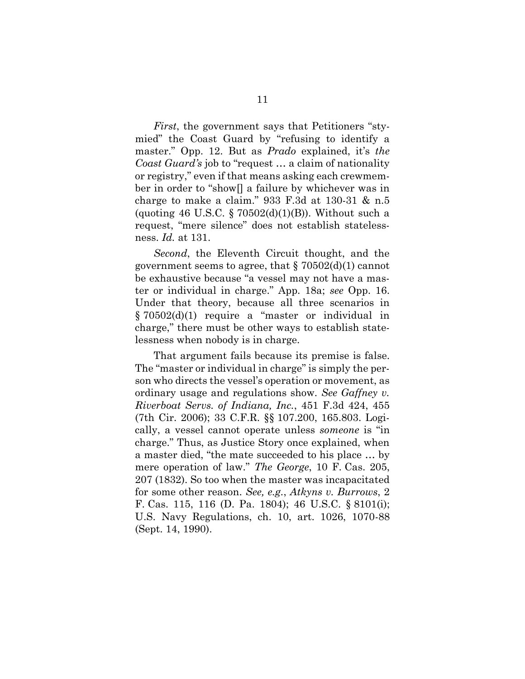*First*, the government says that Petitioners "stymied" the Coast Guard by "refusing to identify a master." Opp. 12. But as *Prado* explained, it's *the Coast Guard's* job to "request … a claim of nationality or registry," even if that means asking each crewmember in order to "show[] a failure by whichever was in charge to make a claim."  $933$  F.3d at 130-31 & n.5 (quoting 46 U.S.C. § 70502(d)(1)(B)). Without such a request, "mere silence" does not establish statelessness. *Id.* at 131.

*Second*, the Eleventh Circuit thought, and the government seems to agree, that  $\S 70502(d)(1)$  cannot be exhaustive because "a vessel may not have a master or individual in charge." App. 18a; *see* Opp. 16. Under that theory, because all three scenarios in § 70502(d)(1) require a "master or individual in charge," there must be other ways to establish statelessness when nobody is in charge.

That argument fails because its premise is false. The "master or individual in charge" is simply the person who directs the vessel's operation or movement, as ordinary usage and regulations show. *See Gaffney v. Riverboat Servs. of Indiana, Inc.*, 451 F.3d 424, 455 (7th Cir. 2006); 33 C.F.R. §§ 107.200, 165.803. Logically, a vessel cannot operate unless *someone* is "in charge." Thus, as Justice Story once explained, when a master died, "the mate succeeded to his place … by mere operation of law." *The George*, 10 F. Cas. 205, 207 (1832). So too when the master was incapacitated for some other reason. *See, e.g.*, *Atkyns v. Burrows*, 2 F. Cas. 115, 116 (D. Pa. 1804); 46 U.S.C. § 8101(i); U.S. Navy Regulations, ch. 10, art. 1026, 1070-88 (Sept. 14, 1990).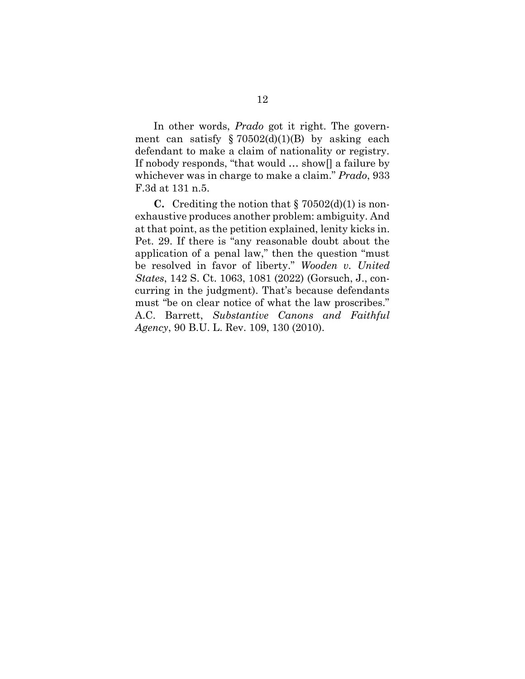In other words, *Prado* got it right. The government can satisfy  $\S 70502(d)(1)(B)$  by asking each defendant to make a claim of nationality or registry. If nobody responds, "that would … show[] a failure by whichever was in charge to make a claim." *Prado*, 933 F.3d at 131 n.5.

**C.** Crediting the notion that  $\S$  70502(d)(1) is nonexhaustive produces another problem: ambiguity. And at that point, as the petition explained, lenity kicks in. Pet. 29. If there is "any reasonable doubt about the application of a penal law," then the question "must be resolved in favor of liberty." *Wooden v. United States*, 142 S. Ct. 1063, 1081 (2022) (Gorsuch, J., concurring in the judgment). That's because defendants must "be on clear notice of what the law proscribes." A.C. Barrett, *Substantive Canons and Faithful Agency*, 90 B.U. L. Rev. 109, 130 (2010).